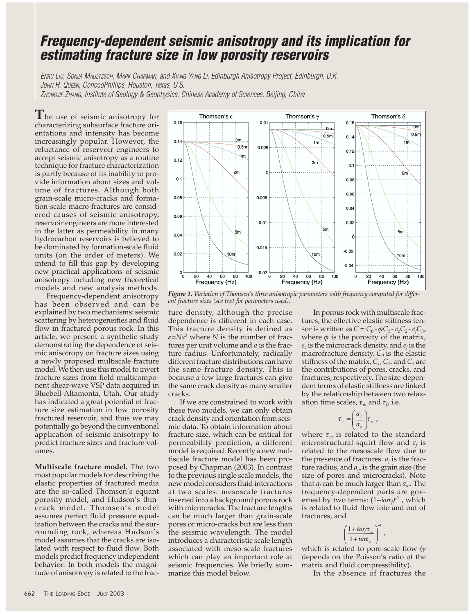## *Frequency-dependent seismic anisotropy and its implication for estimating fracture size in low porosity reservoirs*

*ENRU LIU, SONJA MAULTZSCH, MARK CHAPMAN, and XIANG YANG LI, Edinburgh Anisotropy Project, Edinburgh, U.K. JOHN H. QUEEN, ConocoPhillips, Houston, Texas, U.S. ZHONGJIE ZHANG, Institute of Geology & Geophysics, Chinese Academy of Sciences, Beijing, China*

**T**he use of seismic anisotropy for characterizing subsurface fracture orientations and intensity has become increasingly popular. However, the reluctance of reservoir engineers to accept seismic anisotropy as a routine technique for fracture characterization is partly because of its inability to provide information about sizes and volume of fractures. Although both grain-scale micro-cracks and formation-scale macro-fractures are considered causes of seismic anisotropy, reservoir engineers are more interested in the latter as permeability in many hydrocarbon reservoirs is believed to be dominated by formation-scale fluid units (on the order of meters). We intend to fill this gap by developing new practical applications of seismic anisotropy including new theoretical models and new analysis methods.

Frequency-dependent anisotropy has been observed and can be explained by two mechanisms: seismic scattering by heterogeneities and fluid flow in fractured porous rock. In this article, we present a synthetic study demonstrating the dependence of seismic anisotropy on fracture sizes using a newly proposed multiscale fracture model. We then use this model to invert fracture sizes from field multicomponent shear-wave VSP data acquired in Bluebell-Altamonta, Utah. Our study has indicated a great potential of fracture size estimation in low porosity fractured reservoir, and thus we may potentially go beyond the conventional application of seismic anisotropy to predict fracture sizes and fracture volumes.

**Multiscale fracture model.** The two most popular models for describing the elastic properties of fractured media are the so-called Thomsen's equant porosity model, and Hudson's thincrack model. Thomsen's model assumes perfect fluid pressure equalization between the cracks and the surrounding rock, whereas Hudson's model assumes that the cracks are isolated with respect to fluid flow. Both models predict frequency independent behavior. In both models the magnitude of anisotropy is related to the frac-



*Figure 1. Variation of Thomsen's three anisotropic parameters with frequency computed for different fracture sizes (see text for parameters used).*

ture density, although the precise dependence is different in each case. This fracture density is defined as  $\varepsilon = Na^3$  where *N* is the number of fractures per unit volume and *a* is the fracture radius. Unfortunately, radically different fracture distributions can have the same fracture density. This is because a few large fractures can give the same crack density as many smaller cracks.

If we are constrained to work with these two models, we can only obtain crack density and orientation from seismic data. To obtain information about fracture size, which can be critical for permeability prediction, a different model is required. Recently a new multiscale fracture model has been proposed by Chapman (2003). In contrast to the previous single scale models, the new model considers fluid interactions at two scales: mesoscale fractures inserted into a background porous rock with microcracks. The fracture lengths can be much larger than grain-scale pores or micro-cracks but are less than the seismic wavelength. The model introduces a characteristic scale length associated with meso-scale fractures which can play an important role at seismic frequencies. We briefly summarize this model below.

In porous rock with multiscale fractures, the effective elastic stiffness tensor is written as  $C = C_0 - \phi C_1 - e_c C_2 - e_f C_3$ , where  $\phi$  is the porosity of the matrix,  $e_c$  is the microcrack density, and  $e_f$  is the macrofracture density.  $C_0$  is the elastic stiffness of the matrix,  $C_1$ ,  $C_2$ , and  $C_3$  are the contributions of pores, cracks, and fractures, respectively. The size-dependent terms of elastic stiffness are linked by the relationship between two relaxation time scales,  $\tau_m$  and  $\tau_f$ , i.e.

$$
\tau_{j} = \left(\frac{a_{j}}{a_{m}}\right) \tau_{m}
$$

where  $\tau_m$  is related to the standard microstructural squirt flow and  $\tau_f$  is related to the mesoscale flow due to the presence of fractures.  $a_f$  is the fracture radius, and *am* is the grain size (the size of pores and microcracks). Note that *af* can be much larger than *am*. The frequency-dependent parts are governed by two terms: (1+*i*ωτ*<sup>f</sup> )* -1 , which is related to fluid flow into and out of fractures, and

$$
\left(\frac{1+i\omega\gamma\tau_{\rm m}}{1+i\omega\tau_{\rm m}}\right)^{-1}
$$

which is related to pore-scale flow (γ depends on the Poisson's ratio of the matrix and fluid compressibility).

In the absence of fractures the

,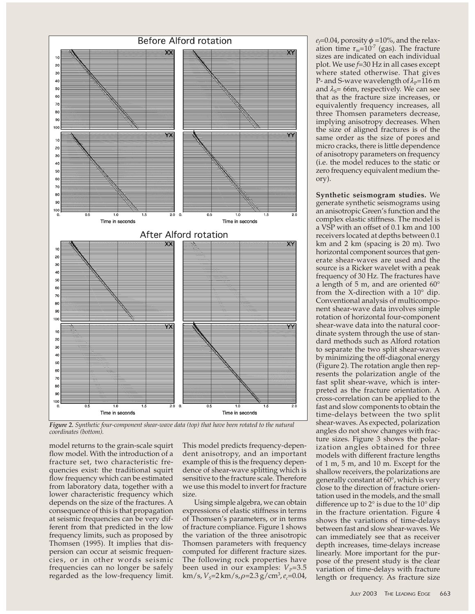

*Figure 2. Synthetic four-component shear-wave data (top) that have been rotated to the natural coordinates (bottom).*

model returns to the grain-scale squirt flow model. With the introduction of a fracture set, two characteristic frequencies exist: the traditional squirt flow frequency which can be estimated from laboratory data, together with a lower characteristic frequency which depends on the size of the fractures. A consequence of this is that propagation at seismic frequencies can be very different from that predicted in the low frequency limits, such as proposed by Thomsen (1995). It implies that dispersion can occur at seismic frequencies, or in other words seismic frequencies can no longer be safely regarded as the low-frequency limit.

This model predicts frequency-dependent anisotropy, and an important example of this is the frequency dependence of shear-wave splitting which is sensitive to the fracture scale. Therefore we use this model to invert for fracture size.

Using simple algebra, we can obtain expressions of elastic stiffness in terms of Thomsen's parameters, or in terms of fracture compliance. Figure 1 shows the variation of the three anisotropic Thomsen parameters with frequency computed for different fracture sizes. The following rock properties have been used in our examples:  $V_p$ =3.5 km/s, *V*<sub>S</sub>=2 km/s,  $\rho$ =2.3 g/cm<sup>3</sup>, e<sub>c</sub>=0.04,

 $e_f$ =0.04, porosity  $\phi$  =10%, and the relaxation time  $\tau_m$ =10<sup>-7</sup> (gas). The fracture sizes are indicated on each individual plot. We use *f*=30 Hz in all cases except where stated otherwise. That gives P- and S-wave wavelength of  $\lambda_{P}$ =116 m and  $\lambda_s$ = 66m, respectively. We can see that as the fracture size increases, or equivalently frequency increases, all three Thomsen parameters decrease, implying anisotropy decreases. When the size of aligned fractures is of the same order as the size of pores and micro cracks, there is little dependence of anisotropy parameters on frequency (i.e. the model reduces to the static or zero frequency equivalent medium theory).

**Synthetic seismogram studies.** We generate synthetic seismograms using an anisotropic Green's function and the complex elastic stiffness. The model is a VSP with an offset of 0.1 km and 100 receivers located at depths between 0.1 km and 2 km (spacing is 20 m). Two horizontal component sources that generate shear-waves are used and the source is a Ricker wavelet with a peak frequency of 30 Hz. The fractures have a length of 5 m, and are oriented 60° from the X-direction with a 10° dip. Conventional analysis of multicomponent shear-wave data involves simple rotation of horizontal four-component shear-wave data into the natural coordinate system through the use of standard methods such as Alford rotation to separate the two split shear-waves by minimizing the off-diagonal energy (Figure 2). The rotation angle then represents the polarization angle of the fast split shear-wave, which is interpreted as the fracture orientation. A cross-correlation can be applied to the fast and slow components to obtain the time-delays between the two split shear-waves. As expected, polarization angles do not show changes with fracture sizes. Figure 3 shows the polarization angles obtained for three models with different fracture lengths of 1 m, 5 m, and 10 m. Except for the shallow receivers, the polarizations are generally constant at 60°, which is very close to the direction of fracture orientation used in the models, and the small difference up to 2° is due to the 10° dip in the fracture orientation. Figure 4 shows the variations of time-delays between fast and slow shear-waves. We can immediately see that as receiver depth increases, time-delays increase linearly. More important for the purpose of the present study is the clear variation of time-delays with fracture length or frequency. As fracture size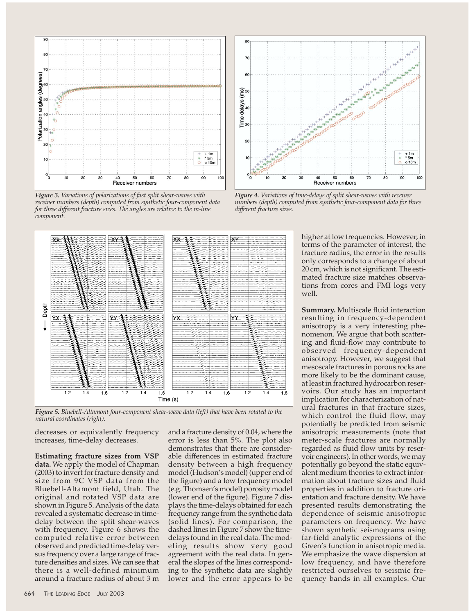

*Figure 3. Variations of polarizations of fast split shear-waves with receiver numbers (depth) computed from synthetic four-component data for three different fracture sizes. The angles are relative to the in-line component.*



*Figure 5. Bluebell-Altamont four-component shear-wave data (left) that have been rotated to the natural coordinates (right).*

decreases or equivalently frequency increases, time-delay decreases.

**Estimating fracture sizes from VSP data.** We apply the model of Chapman (2003) to invert for fracture density and size from 9C VSP data from the Bluebell-Altamont field, Utah. The original and rotated VSP data are shown in Figure 5. Analysis of the data revealed a systematic decrease in timedelay between the split shear-waves with frequency. Figure 6 shows the computed relative error between observed and predicted time-delay versus frequency over a large range of fracture densities and sizes. We can see that there is a well-defined minimum around a fracture radius of about 3 m

and a fracture density of 0.04, where the error is less than 5%. The plot also demonstrates that there are considerable differences in estimated fracture density between a high frequency model (Hudson's model) (upper end of the figure) and a low frequency model (e.g. Thomsen's model) porosity model (lower end of the figure). Figure 7 displays the time-delays obtained for each frequency range from the synthetic data (solid lines). For comparison, the dashed lines in Figure 7 show the timedelays found in the real data. The modeling results show very good agreement with the real data. In general the slopes of the lines corresponding to the synthetic data are slightly lower and the error appears to be



*Figure 4. Variations of time-delays of split shear-waves with receiver numbers (depth) computed from synthetic four-component data for three different fracture sizes.*

higher at low frequencies. However, in terms of the parameter of interest, the fracture radius, the error in the results only corresponds to a change of about 20 cm, which is not significant. The estimated fracture size matches observations from cores and FMI logs very well.

**Summary.** Multiscale fluid interaction resulting in frequency-dependent anisotropy is a very interesting phenomenon. We argue that both scattering and fluid-flow may contribute to observed frequency-dependent anisotropy. However, we suggest that mesoscale fractures in porous rocks are more likely to be the dominant cause, at least in fractured hydrocarbon reservoirs. Our study has an important implication for characterization of natural fractures in that fracture sizes, which control the fluid flow, may potentially be predicted from seismic anisotropic measurements (note that meter-scale fractures are normally regarded as fluid flow units by reservoir engineers). In other words, we may potentially go beyond the static equivalent medium theories to extract information about fracture sizes and fluid properties in addition to fracture orientation and fracture density. We have presented results demonstrating the dependence of seismic anisotropic parameters on frequency. We have shown synthetic seismograms using far-field analytic expressions of the Green's function in anisotropic media. We emphasize the wave dispersion at low frequency, and have therefore restricted ourselves to seismic frequency bands in all examples. Our